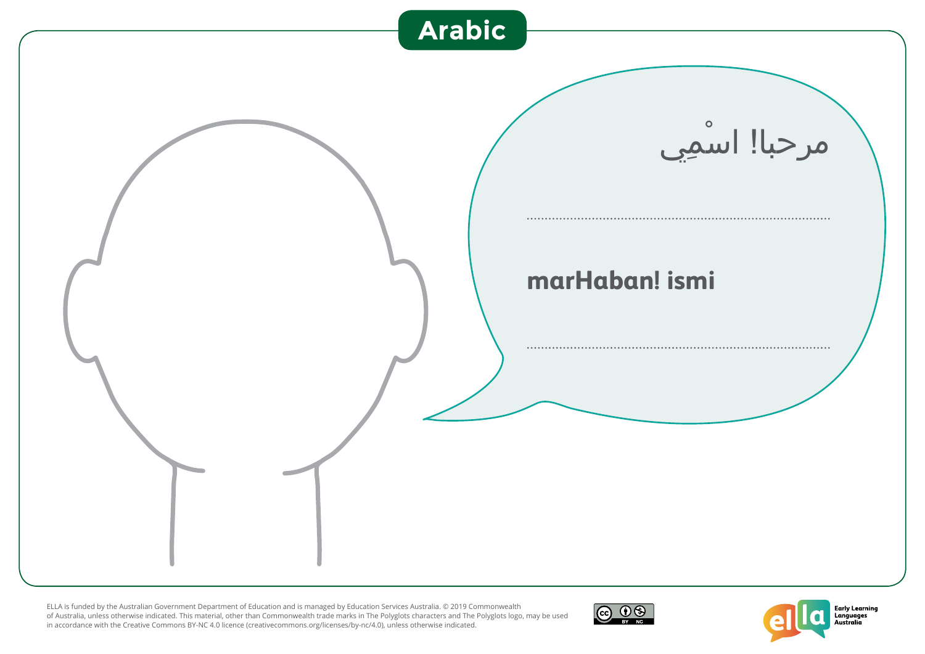



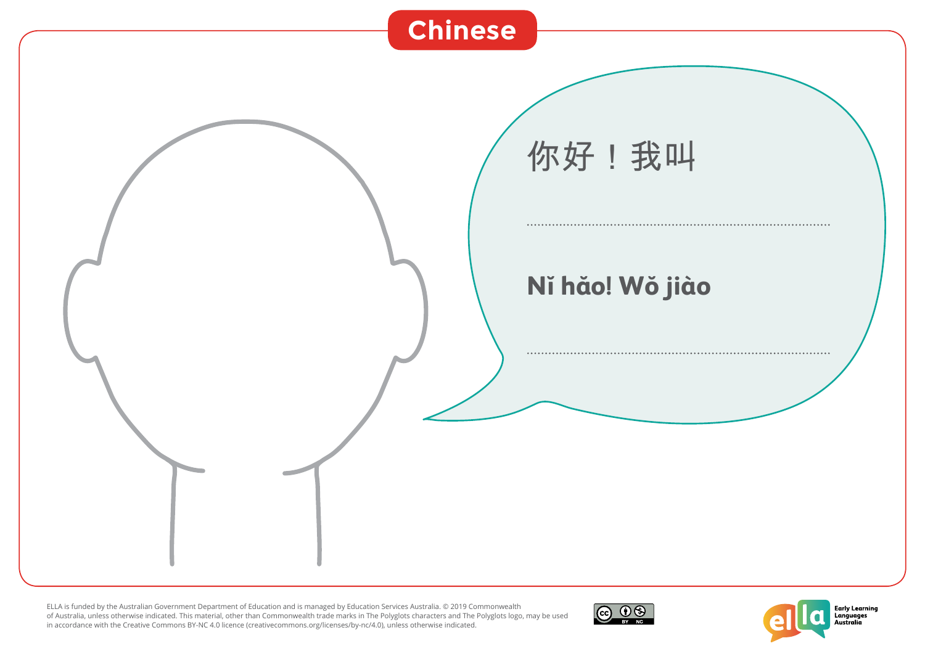



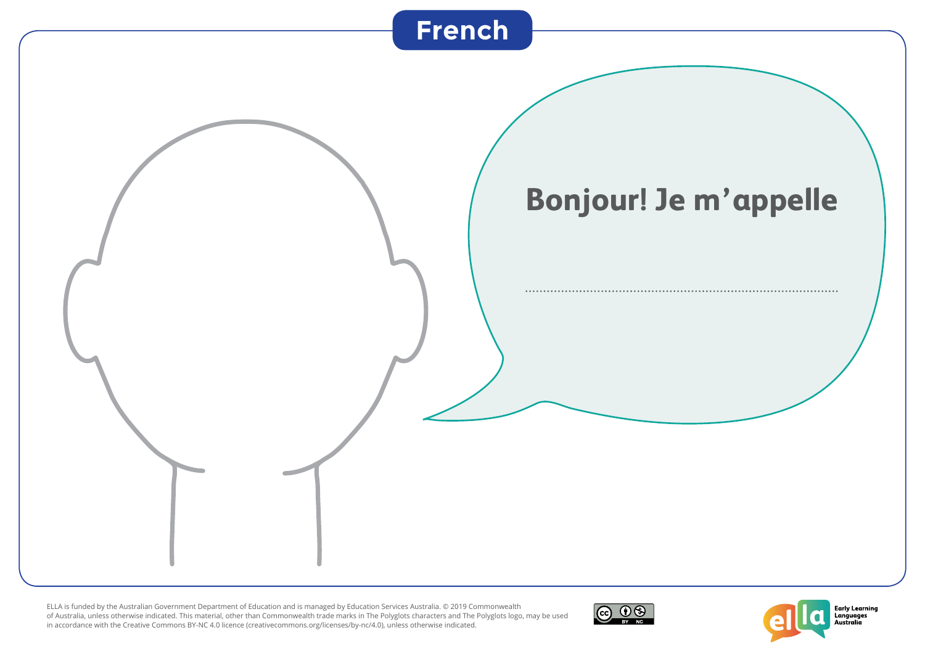



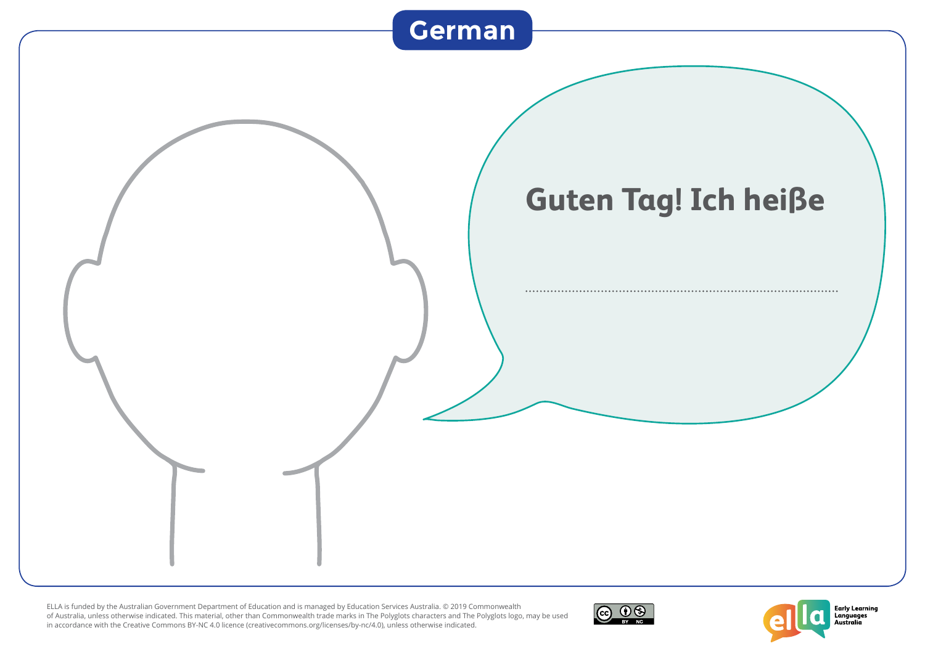



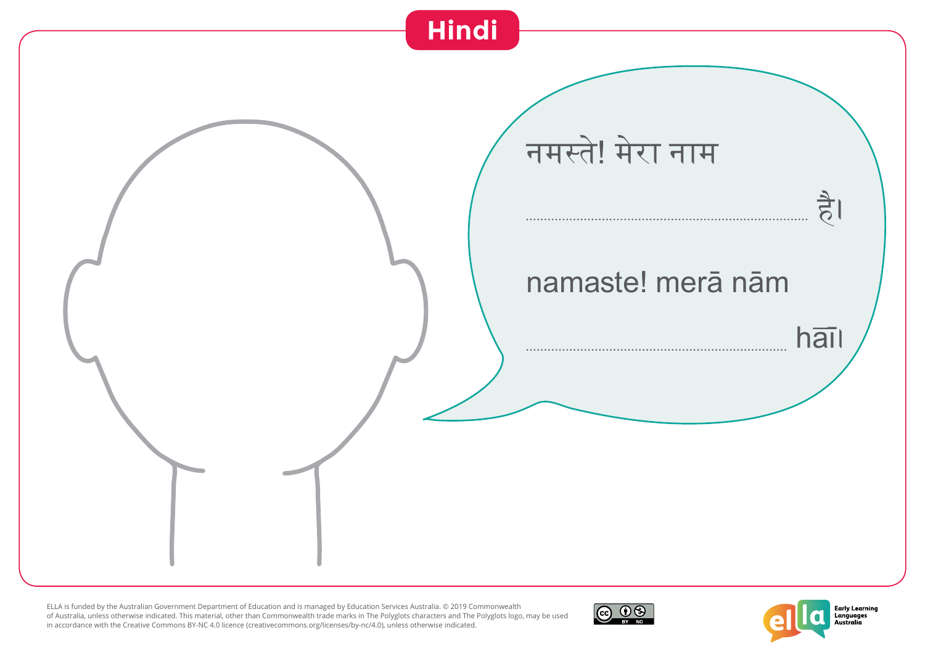



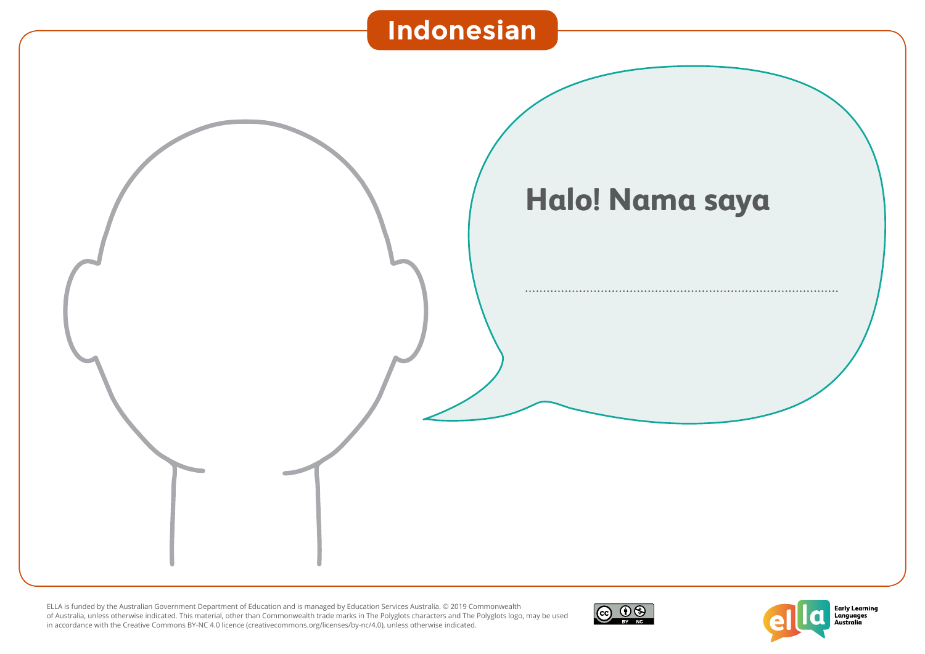



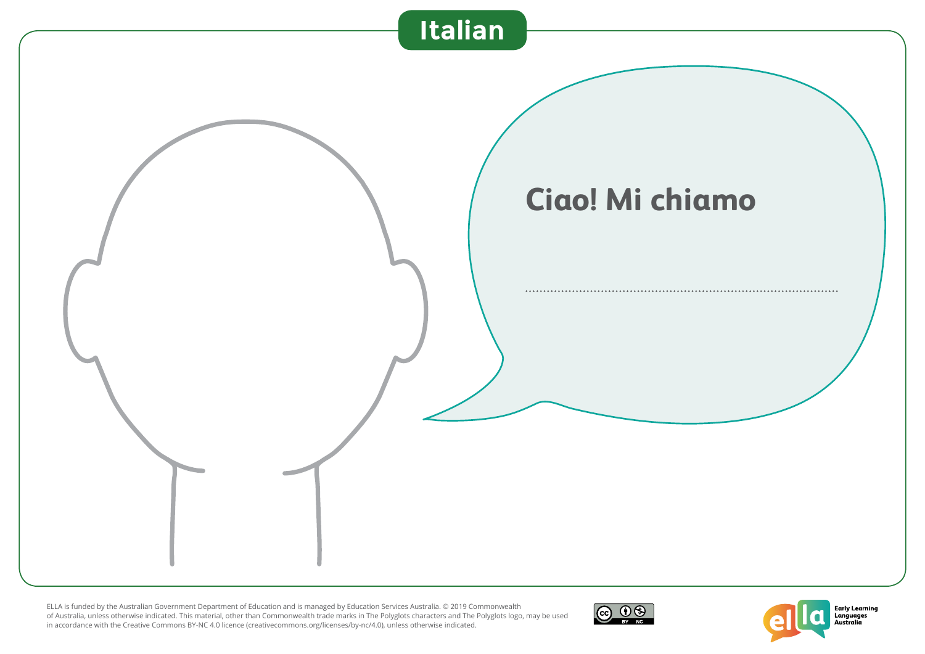



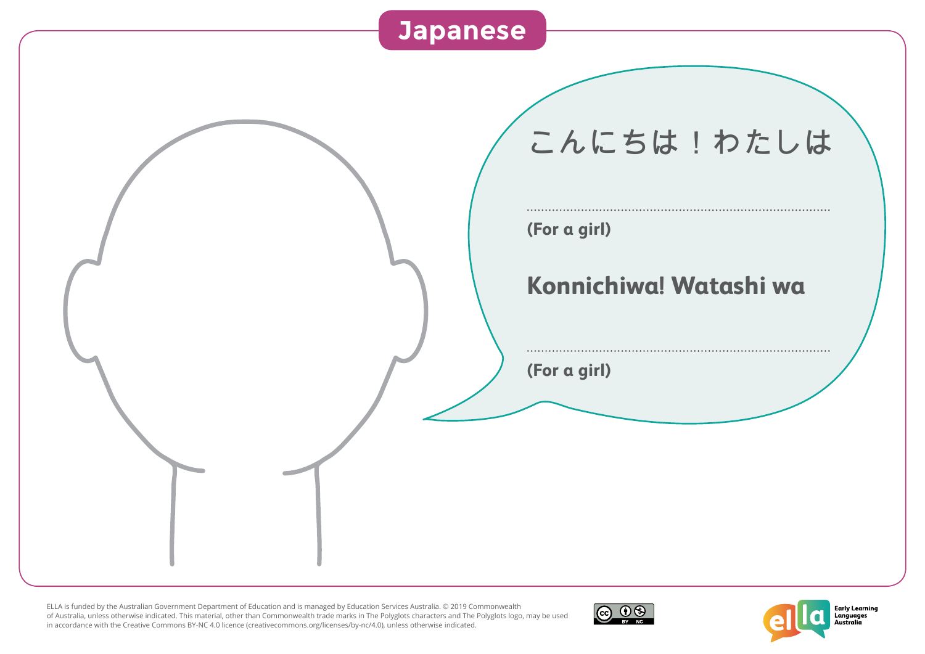



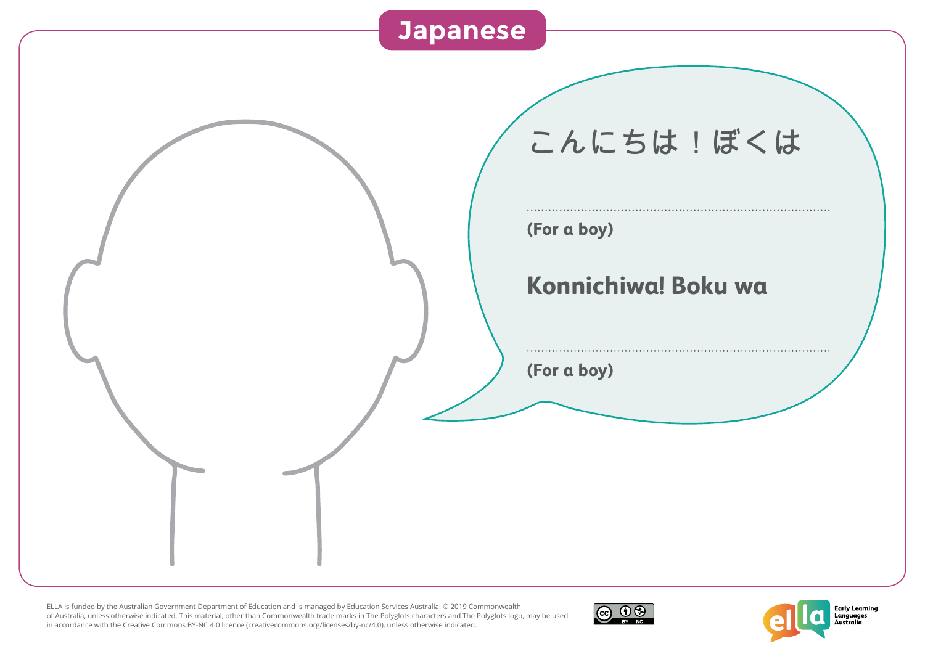



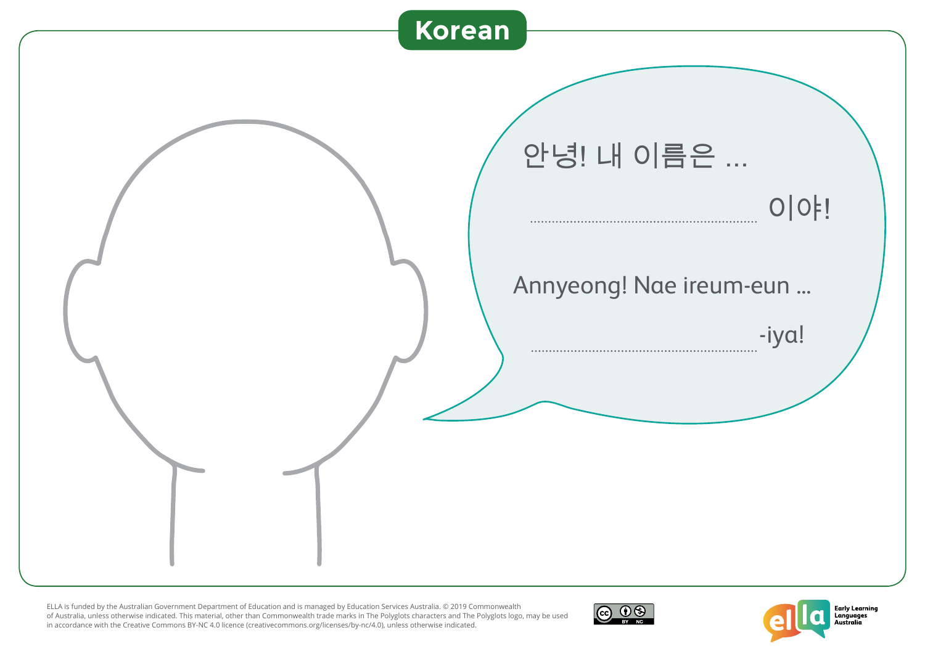



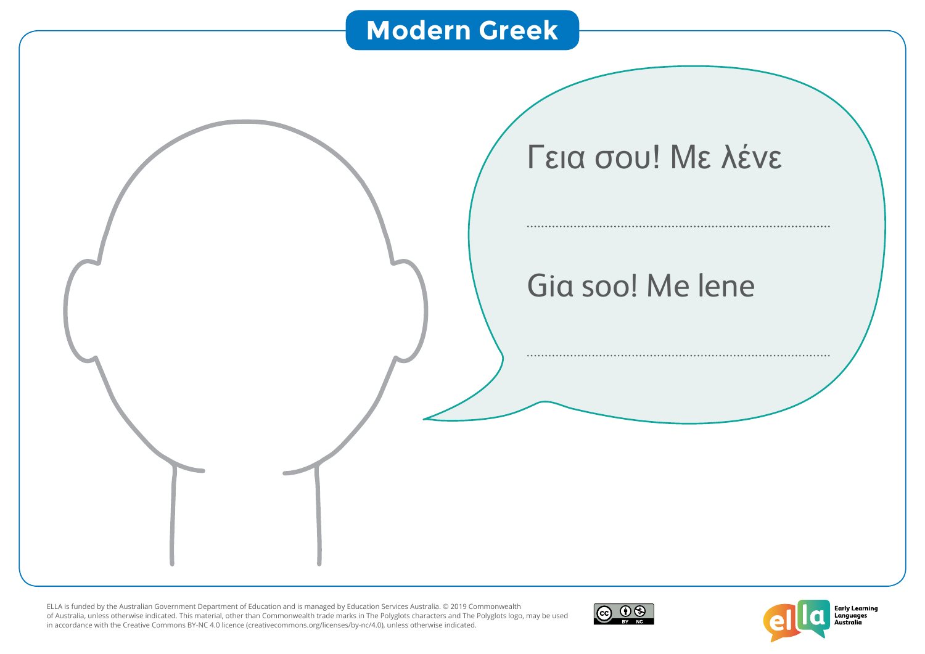## **Modern Greek**





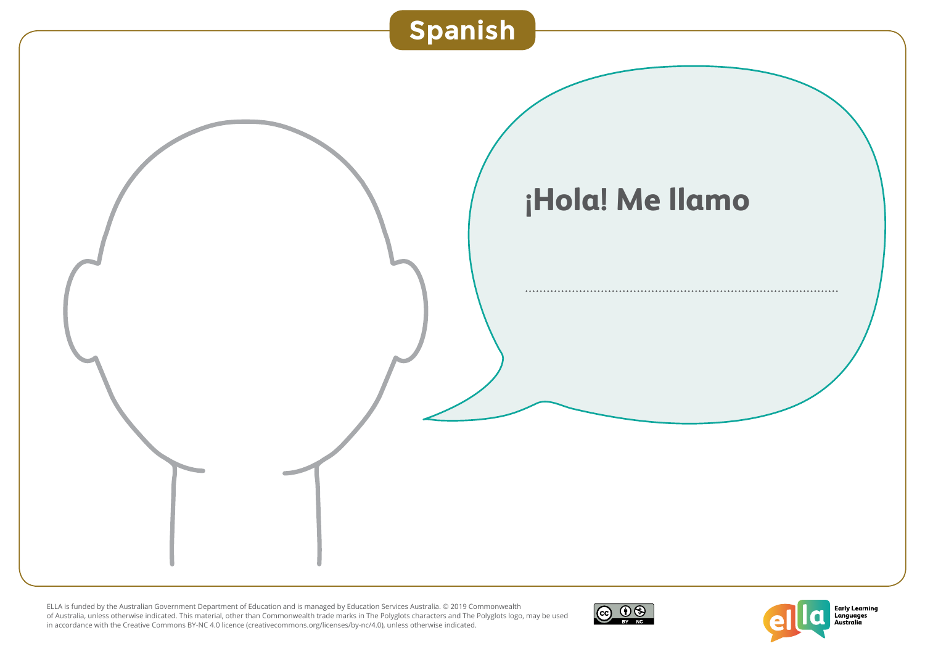



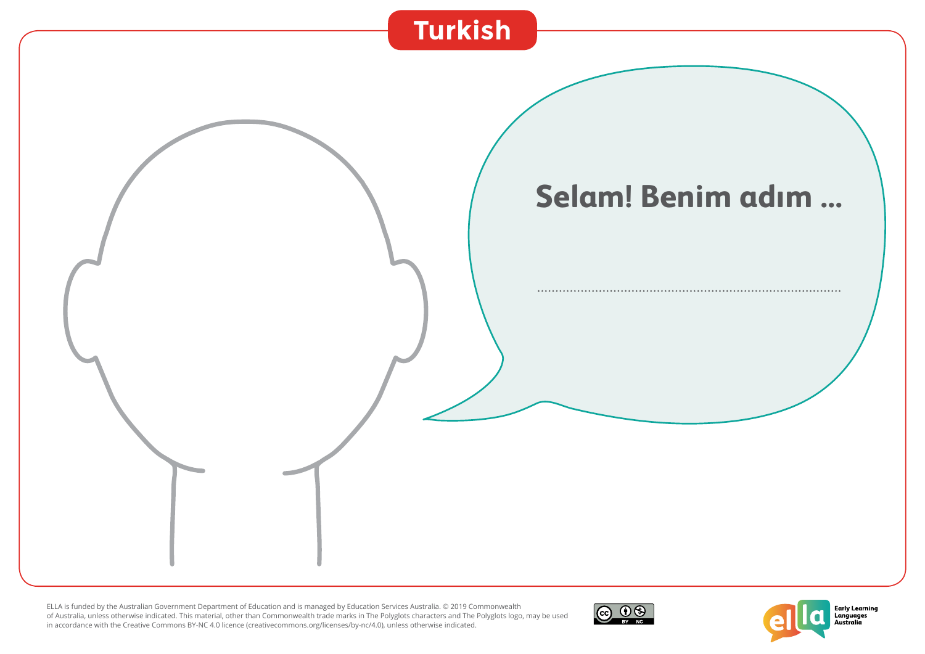